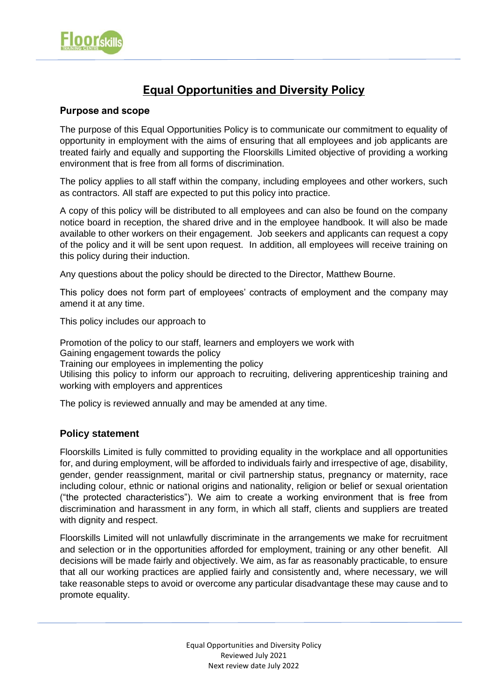

# **Equal Opportunities and Diversity Policy**

## **Purpose and scope**

The purpose of this Equal Opportunities Policy is to communicate our commitment to equality of opportunity in employment with the aims of ensuring that all employees and job applicants are treated fairly and equally and supporting the Floorskills Limited objective of providing a working environment that is free from all forms of discrimination.

The policy applies to all staff within the company, including employees and other workers, such as contractors. All staff are expected to put this policy into practice.

A copy of this policy will be distributed to all employees and can also be found on the company notice board in reception, the shared drive and in the employee handbook. It will also be made available to other workers on their engagement. Job seekers and applicants can request a copy of the policy and it will be sent upon request. In addition, all employees will receive training on this policy during their induction.

Any questions about the policy should be directed to the Director, Matthew Bourne.

This policy does not form part of employees' contracts of employment and the company may amend it at any time.

This policy includes our approach to

Promotion of the policy to our staff, learners and employers we work with Gaining engagement towards the policy Training our employees in implementing the policy Utilising this policy to inform our approach to recruiting, delivering apprenticeship training and working with employers and apprentices

The policy is reviewed annually and may be amended at any time.

# **Policy statement**

Floorskills Limited is fully committed to providing equality in the workplace and all opportunities for, and during employment, will be afforded to individuals fairly and irrespective of age, disability, gender, gender reassignment, marital or civil partnership status, pregnancy or maternity, race including colour, ethnic or national origins and nationality, religion or belief or sexual orientation ("the protected characteristics"). We aim to create a working environment that is free from discrimination and harassment in any form, in which all staff, clients and suppliers are treated with dignity and respect.

Floorskills Limited will not unlawfully discriminate in the arrangements we make for recruitment and selection or in the opportunities afforded for employment, training or any other benefit. All decisions will be made fairly and objectively. We aim, as far as reasonably practicable, to ensure that all our working practices are applied fairly and consistently and, where necessary, we will take reasonable steps to avoid or overcome any particular disadvantage these may cause and to promote equality.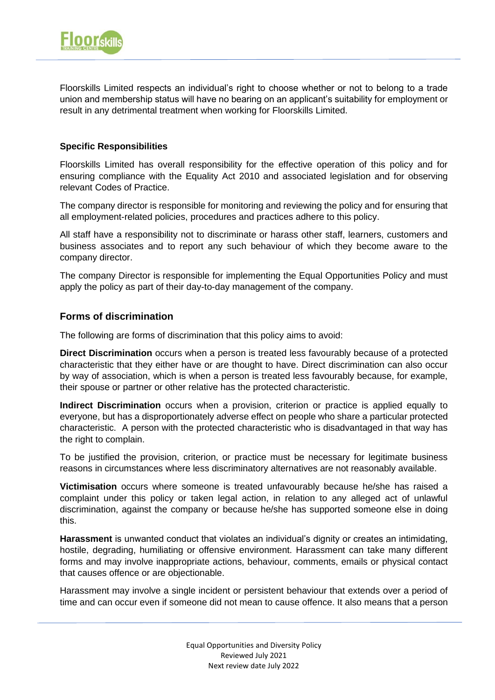

Floorskills Limited respects an individual's right to choose whether or not to belong to a trade union and membership status will have no bearing on an applicant's suitability for employment or result in any detrimental treatment when working for Floorskills Limited.

#### **Specific Responsibilities**

Floorskills Limited has overall responsibility for the effective operation of this policy and for ensuring compliance with the Equality Act 2010 and associated legislation and for observing relevant Codes of Practice.

The company director is responsible for monitoring and reviewing the policy and for ensuring that all employment-related policies, procedures and practices adhere to this policy.

All staff have a responsibility not to discriminate or harass other staff, learners, customers and business associates and to report any such behaviour of which they become aware to the company director.

The company Director is responsible for implementing the Equal Opportunities Policy and must apply the policy as part of their day-to-day management of the company.

#### **Forms of discrimination**

The following are forms of discrimination that this policy aims to avoid:

**Direct Discrimination** occurs when a person is treated less favourably because of a protected characteristic that they either have or are thought to have. Direct discrimination can also occur by way of association, which is when a person is treated less favourably because, for example, their spouse or partner or other relative has the protected characteristic.

**Indirect Discrimination** occurs when a provision, criterion or practice is applied equally to everyone, but has a disproportionately adverse effect on people who share a particular protected characteristic. A person with the protected characteristic who is disadvantaged in that way has the right to complain.

To be justified the provision, criterion, or practice must be necessary for legitimate business reasons in circumstances where less discriminatory alternatives are not reasonably available.

**Victimisation** occurs where someone is treated unfavourably because he/she has raised a complaint under this policy or taken legal action, in relation to any alleged act of unlawful discrimination, against the company or because he/she has supported someone else in doing this.

**Harassment** is unwanted conduct that violates an individual's dignity or creates an intimidating, hostile, degrading, humiliating or offensive environment. Harassment can take many different forms and may involve inappropriate actions, behaviour, comments, emails or physical contact that causes offence or are objectionable.

Harassment may involve a single incident or persistent behaviour that extends over a period of time and can occur even if someone did not mean to cause offence. It also means that a person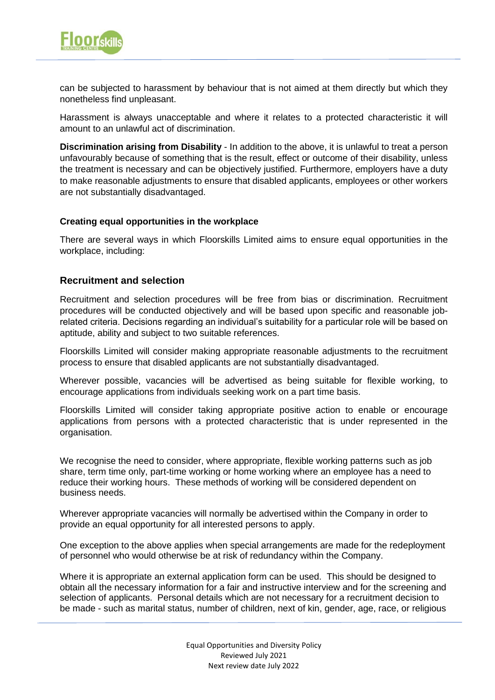

can be subjected to harassment by behaviour that is not aimed at them directly but which they nonetheless find unpleasant.

Harassment is always unacceptable and where it relates to a protected characteristic it will amount to an unlawful act of discrimination.

**Discrimination arising from Disability** - In addition to the above, it is unlawful to treat a person unfavourably because of something that is the result, effect or outcome of their disability, unless the treatment is necessary and can be objectively justified. Furthermore, employers have a duty to make reasonable adjustments to ensure that disabled applicants, employees or other workers are not substantially disadvantaged.

#### **Creating equal opportunities in the workplace**

There are several ways in which Floorskills Limited aims to ensure equal opportunities in the workplace, including:

## **Recruitment and selection**

Recruitment and selection procedures will be free from bias or discrimination. Recruitment procedures will be conducted objectively and will be based upon specific and reasonable jobrelated criteria. Decisions regarding an individual's suitability for a particular role will be based on aptitude, ability and subject to two suitable references.

Floorskills Limited will consider making appropriate reasonable adjustments to the recruitment process to ensure that disabled applicants are not substantially disadvantaged.

Wherever possible, vacancies will be advertised as being suitable for flexible working, to encourage applications from individuals seeking work on a part time basis.

Floorskills Limited will consider taking appropriate positive action to enable or encourage applications from persons with a protected characteristic that is under represented in the organisation.

We recognise the need to consider, where appropriate, flexible working patterns such as job share, term time only, part-time working or home working where an employee has a need to reduce their working hours. These methods of working will be considered dependent on business needs.

Wherever appropriate vacancies will normally be advertised within the Company in order to provide an equal opportunity for all interested persons to apply.

One exception to the above applies when special arrangements are made for the redeployment of personnel who would otherwise be at risk of redundancy within the Company.

Where it is appropriate an external application form can be used. This should be designed to obtain all the necessary information for a fair and instructive interview and for the screening and selection of applicants. Personal details which are not necessary for a recruitment decision to be made - such as marital status, number of children, next of kin, gender, age, race, or religious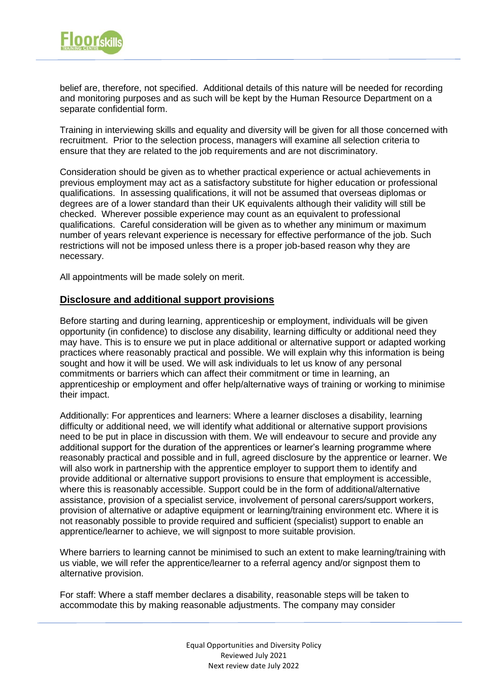

belief are, therefore, not specified. Additional details of this nature will be needed for recording and monitoring purposes and as such will be kept by the Human Resource Department on a separate confidential form.

Training in interviewing skills and equality and diversity will be given for all those concerned with recruitment. Prior to the selection process, managers will examine all selection criteria to ensure that they are related to the job requirements and are not discriminatory.

Consideration should be given as to whether practical experience or actual achievements in previous employment may act as a satisfactory substitute for higher education or professional qualifications. In assessing qualifications, it will not be assumed that overseas diplomas or degrees are of a lower standard than their UK equivalents although their validity will still be checked. Wherever possible experience may count as an equivalent to professional qualifications. Careful consideration will be given as to whether any minimum or maximum number of years relevant experience is necessary for effective performance of the job. Such restrictions will not be imposed unless there is a proper job-based reason why they are necessary.

All appointments will be made solely on merit.

#### **Disclosure and additional support provisions**

Before starting and during learning, apprenticeship or employment, individuals will be given opportunity (in confidence) to disclose any disability, learning difficulty or additional need they may have. This is to ensure we put in place additional or alternative support or adapted working practices where reasonably practical and possible. We will explain why this information is being sought and how it will be used. We will ask individuals to let us know of any personal commitments or barriers which can affect their commitment or time in learning, an apprenticeship or employment and offer help/alternative ways of training or working to minimise their impact.

Additionally: For apprentices and learners: Where a learner discloses a disability, learning difficulty or additional need, we will identify what additional or alternative support provisions need to be put in place in discussion with them. We will endeavour to secure and provide any additional support for the duration of the apprentices or learner's learning programme where reasonably practical and possible and in full, agreed disclosure by the apprentice or learner. We will also work in partnership with the apprentice employer to support them to identify and provide additional or alternative support provisions to ensure that employment is accessible, where this is reasonably accessible. Support could be in the form of additional/alternative assistance, provision of a specialist service, involvement of personal carers/support workers, provision of alternative or adaptive equipment or learning/training environment etc. Where it is not reasonably possible to provide required and sufficient (specialist) support to enable an apprentice/learner to achieve, we will signpost to more suitable provision.

Where barriers to learning cannot be minimised to such an extent to make learning/training with us viable, we will refer the apprentice/learner to a referral agency and/or signpost them to alternative provision.

For staff: Where a staff member declares a disability, reasonable steps will be taken to accommodate this by making reasonable adjustments. The company may consider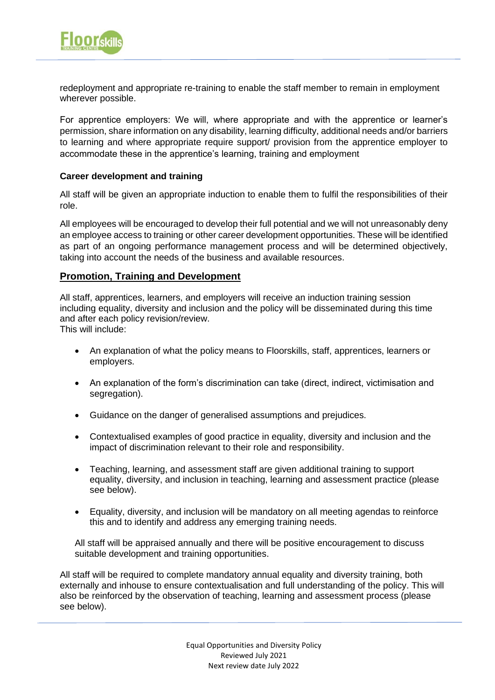

redeployment and appropriate re-training to enable the staff member to remain in employment wherever possible.

For apprentice employers: We will, where appropriate and with the apprentice or learner's permission, share information on any disability, learning difficulty, additional needs and/or barriers to learning and where appropriate require support/ provision from the apprentice employer to accommodate these in the apprentice's learning, training and employment

#### **Career development and training**

All staff will be given an appropriate induction to enable them to fulfil the responsibilities of their role.

All employees will be encouraged to develop their full potential and we will not unreasonably deny an employee access to training or other career development opportunities. These will be identified as part of an ongoing performance management process and will be determined objectively, taking into account the needs of the business and available resources.

#### **Promotion, Training and Development**

All staff, apprentices, learners, and employers will receive an induction training session including equality, diversity and inclusion and the policy will be disseminated during this time and after each policy revision/review. This will include:

- An explanation of what the policy means to Floorskills, staff, apprentices, learners or employers.
- An explanation of the form's discrimination can take (direct, indirect, victimisation and segregation).
- Guidance on the danger of generalised assumptions and prejudices.
- Contextualised examples of good practice in equality, diversity and inclusion and the impact of discrimination relevant to their role and responsibility.
- Teaching, learning, and assessment staff are given additional training to support equality, diversity, and inclusion in teaching, learning and assessment practice (please see below).
- Equality, diversity, and inclusion will be mandatory on all meeting agendas to reinforce this and to identify and address any emerging training needs.

All staff will be appraised annually and there will be positive encouragement to discuss suitable development and training opportunities.

All staff will be required to complete mandatory annual equality and diversity training, both externally and inhouse to ensure contextualisation and full understanding of the policy. This will also be reinforced by the observation of teaching, learning and assessment process (please see below).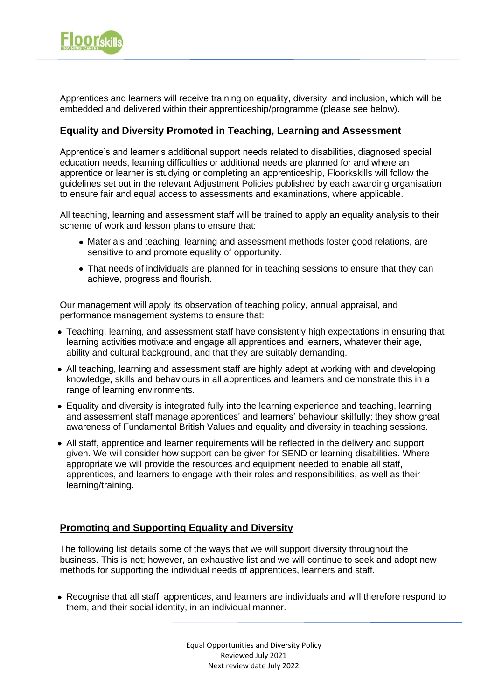

Apprentices and learners will receive training on equality, diversity, and inclusion, which will be embedded and delivered within their apprenticeship/programme (please see below).

#### **Equality and Diversity Promoted in Teaching, Learning and Assessment**

Apprentice's and learner's additional support needs related to disabilities, diagnosed special education needs, learning difficulties or additional needs are planned for and where an apprentice or learner is studying or completing an apprenticeship, Floorkskills will follow the guidelines set out in the relevant Adjustment Policies published by each awarding organisation to ensure fair and equal access to assessments and examinations, where applicable.

All teaching, learning and assessment staff will be trained to apply an equality analysis to their scheme of work and lesson plans to ensure that:

- Materials and teaching, learning and assessment methods foster good relations, are sensitive to and promote equality of opportunity.
- That needs of individuals are planned for in teaching sessions to ensure that they can achieve, progress and flourish.

Our management will apply its observation of teaching policy, annual appraisal, and performance management systems to ensure that:

- Teaching, learning, and assessment staff have consistently high expectations in ensuring that learning activities motivate and engage all apprentices and learners, whatever their age, ability and cultural background, and that they are suitably demanding.
- All teaching, learning and assessment staff are highly adept at working with and developing knowledge, skills and behaviours in all apprentices and learners and demonstrate this in a range of learning environments.
- Equality and diversity is integrated fully into the learning experience and teaching, learning and assessment staff manage apprentices' and learners' behaviour skilfully; they show great awareness of Fundamental British Values and equality and diversity in teaching sessions.
- All staff, apprentice and learner requirements will be reflected in the delivery and support given. We will consider how support can be given for SEND or learning disabilities. Where appropriate we will provide the resources and equipment needed to enable all staff, apprentices, and learners to engage with their roles and responsibilities, as well as their learning/training.

# **Promoting and Supporting Equality and Diversity**

The following list details some of the ways that we will support diversity throughout the business. This is not; however, an exhaustive list and we will continue to seek and adopt new methods for supporting the individual needs of apprentices, learners and staff.

• Recognise that all staff, apprentices, and learners are individuals and will therefore respond to them, and their social identity, in an individual manner.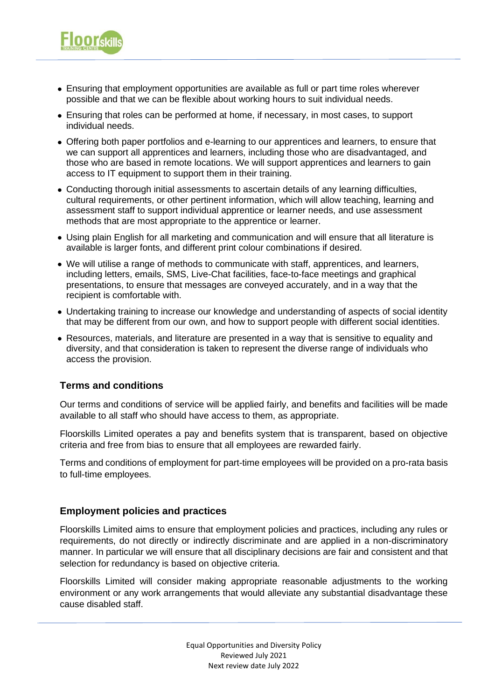

- Ensuring that employment opportunities are available as full or part time roles wherever possible and that we can be flexible about working hours to suit individual needs.
- Ensuring that roles can be performed at home, if necessary, in most cases, to support individual needs.
- Offering both paper portfolios and e-learning to our apprentices and learners, to ensure that we can support all apprentices and learners, including those who are disadvantaged, and those who are based in remote locations. We will support apprentices and learners to gain access to IT equipment to support them in their training.
- Conducting thorough initial assessments to ascertain details of any learning difficulties, cultural requirements, or other pertinent information, which will allow teaching, learning and assessment staff to support individual apprentice or learner needs, and use assessment methods that are most appropriate to the apprentice or learner.
- Using plain English for all marketing and communication and will ensure that all literature is available is larger fonts, and different print colour combinations if desired.
- We will utilise a range of methods to communicate with staff, apprentices, and learners, including letters, emails, SMS, Live-Chat facilities, face-to-face meetings and graphical presentations, to ensure that messages are conveyed accurately, and in a way that the recipient is comfortable with.
- Undertaking training to increase our knowledge and understanding of aspects of social identity that may be different from our own, and how to support people with different social identities.
- Resources, materials, and literature are presented in a way that is sensitive to equality and diversity, and that consideration is taken to represent the diverse range of individuals who access the provision.

# **Terms and conditions**

Our terms and conditions of service will be applied fairly, and benefits and facilities will be made available to all staff who should have access to them, as appropriate.

Floorskills Limited operates a pay and benefits system that is transparent, based on objective criteria and free from bias to ensure that all employees are rewarded fairly.

Terms and conditions of employment for part-time employees will be provided on a pro-rata basis to full-time employees.

#### **Employment policies and practices**

Floorskills Limited aims to ensure that employment policies and practices, including any rules or requirements, do not directly or indirectly discriminate and are applied in a non-discriminatory manner. In particular we will ensure that all disciplinary decisions are fair and consistent and that selection for redundancy is based on objective criteria.

Floorskills Limited will consider making appropriate reasonable adjustments to the working environment or any work arrangements that would alleviate any substantial disadvantage these cause disabled staff.